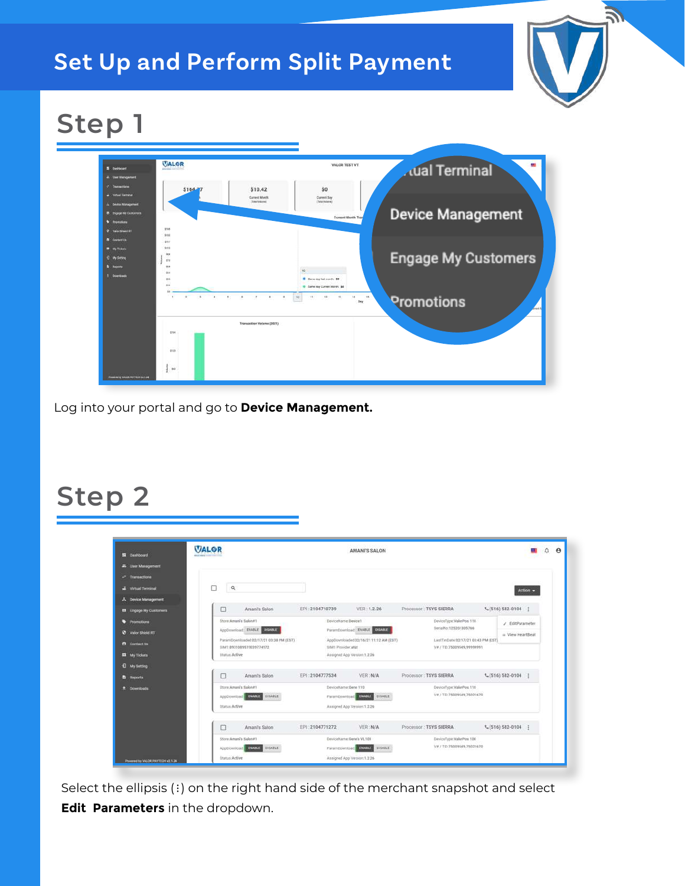#### **Set Up and Perform Split Payment**



# **Step 1**



Log into your portal and go to **Device Management.**

#### **Step 2**

| <b>請 Dashboard</b>           | <b>VALOR</b>                                                         |                     | AMANI'S SALON                         |                                                                   |                     |
|------------------------------|----------------------------------------------------------------------|---------------------|---------------------------------------|-------------------------------------------------------------------|---------------------|
| <b>21.</b> User Management   |                                                                      |                     |                                       |                                                                   |                     |
| c* Tramactions               |                                                                      |                     |                                       |                                                                   |                     |
| <b>Writish Teknissal</b>     | п<br>$\alpha$                                                        |                     |                                       |                                                                   | Action -            |
| <b>A</b> Device Management   |                                                                      |                     |                                       |                                                                   |                     |
| <b>B</b> Engage My Customers | ⊡<br>Amani's Salon                                                   | EPI: 2104710739     | VER: 1.2.26                           | Processor: TSYS SIERRA                                            | L (516) S82-0104    |
| <b>b</b> Promotions          | Store Amaril's Salon#1                                               | DeviceName Device1  |                                       | DeviceType:VolorPos 110                                           | / EditParameter     |
| <b>O</b> Valor Shield FT     | <b>DISABLE</b><br>Applemminard EHABLE                                |                     | ParamDownload ENABLE COMMIT           | SeriaNo:125201305766                                              | - View HeartBeat    |
| <b>PI</b> Contact Us         | ParamDownloaded 02/17/21 03:38 PM (EST).<br>SBA1.8931089519039774972 | SIM1 Provider at&t  | AppDownloaded 02/16/21 11:12 AM (EST) | LaufTerDate 02/17/21 03:43 PM (EST)<br>V# / TID:75009549,99999991 |                     |
| <b>IX</b> My Tickets         | <b>Status Active</b>                                                 |                     | Assigned App Version 1.2.26           |                                                                   |                     |
| <b>E</b> My Setting          |                                                                      |                     |                                       |                                                                   |                     |
| Reports                      | о<br>Amani's Salon                                                   | EPI: 2104777534     | VER: N/A                              | Processor: TSYS SIERRA                                            | $L(516) 582 - 0104$ |
| t Downloads                  | <b>Story America Salonati</b>                                        | DeviceName:Dans T10 |                                       | DeviceType:ValorPos.110                                           |                     |
|                              | Applicamioned DAMAIC<br><b>DISABLE</b>                               |                     | ParamDownload MARITE DISABLE          | V# / TID:75009549.75021670                                        |                     |
|                              | Status Active                                                        |                     | Assigned App Version 1.2.26           |                                                                   |                     |
|                              | Amani's Salon<br>o                                                   | EPI 2104771272      | VER: N/A                              | Processor: TSYS SIERRA                                            | L (516) SB2-0104    |
|                              | Story Aman's Salon#1                                                 |                     | DeviceName Gawell VL100               | Device/Type:VallatPas.100                                         |                     |
|                              | AppDownload ENUSE DISELE                                             |                     | ParamDownload BRASE DISABLE           | V# / TID:75009549,75021670                                        |                     |

Select the ellipsis (:) on the right hand side of the merchant snapshot and select **Edit Parameters** in the dropdown.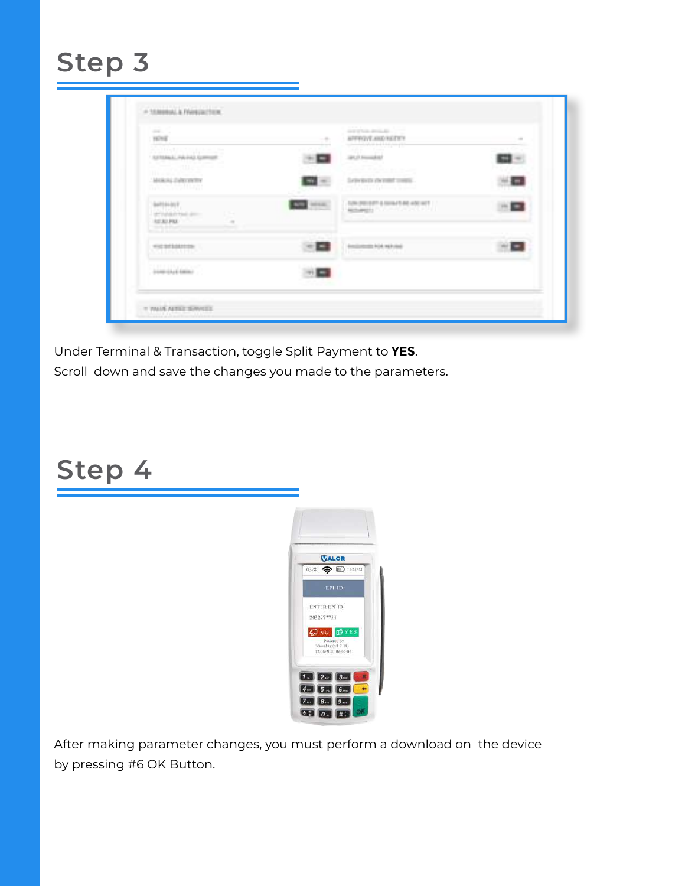| control of<br><b>TENE</b>                                                      |              | state of facts, development.<br>AFFROYE AND VALUE ?               |  |
|--------------------------------------------------------------------------------|--------------|-------------------------------------------------------------------|--|
| <b>美国的人民国家</b><br>SUSTEINALL PALEASS SURFITURE                                 |              |                                                                   |  |
| Horse Carry<br>MOREAL CARE IN THE                                              | $\mathbf{u}$ | controls in attention and company<br>Letteritects chemist contri- |  |
| 1877/2400 PMG ART<br>$\sim$<br>ستبر<br>AID PM<br>$\sim$<br><b>SILLER POURT</b> | <b>HEEK</b>  | TOW (PRI) \$471 & DOINATE ARE ARRESTED<br><b>MONEY AVAILABLE</b>  |  |
| WAS SITUATED TO<br><b>SHEARTE</b>                                              |              | <b>ANGINEER FOR REPORT</b><br><b>HIGH MARKET</b>                  |  |
| <b>DEMONSTRATION</b>                                                           | ▬            |                                                                   |  |

Under Terminal & Transaction, toggle Split Payment to **YES**. Scroll down and save the changes you made to the parameters.

### **Step 4**



After making parameter changes, you must perform a download on the device by pressing #6 OK Button.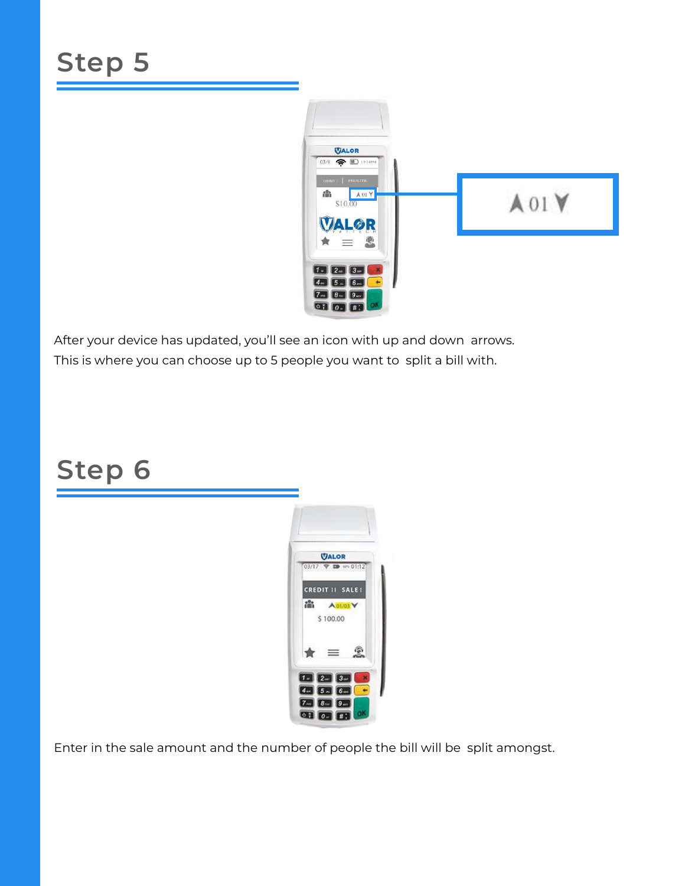

After your device has updated, you'll see an icon with up and down arrows. This is where you can choose up to 5 people you want to split a bill with.

#### **Step 6**



Enter in the sale amount and the number of people the bill will be split amongst.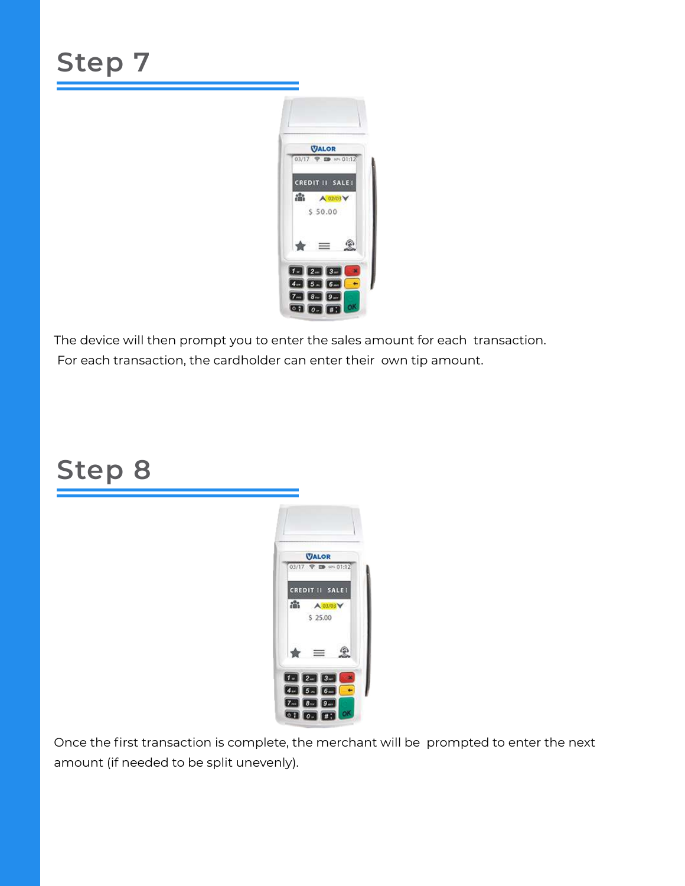

The device will then prompt you to enter the sales amount for each transaction. For each transaction, the cardholder can enter their own tip amount.

### **Step 8**



Once the first transaction is complete, the merchant will be prompted to enter the next amount (if needed to be split unevenly).